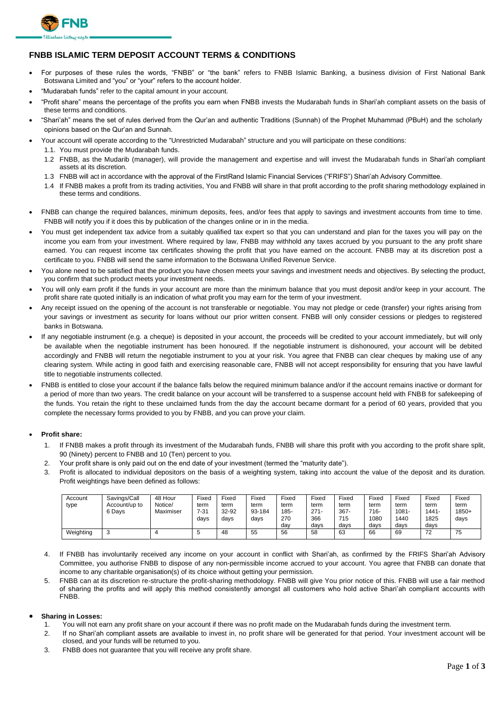

## **FNBB ISLAMIC TERM DEPOSIT ACCOUNT TERMS & CONDITIONS**

- For purposes of these rules the words, "FNBB" or "the bank" refers to FNBB Islamic Banking, a business division of First National Bank Botswana Limited and "you" or "your" refers to the account holder.
- "Mudarabah funds" refer to the capital amount in your account.
- "Profit share" means the percentage of the profits you earn when FNBB invests the Mudarabah funds in Shari'ah compliant assets on the basis of these terms and conditions.
- "Shari'ah" means the set of rules derived from the Qur'an and authentic Traditions (Sunnah) of the Prophet Muhammad (PBuH) and the scholarly opinions based on the Qur'an and Sunnah.
- Your account will operate according to the "Unrestricted Mudarabah" structure and you will participate on these conditions:
	- 1.1. You must provide the Mudarabah funds.
	- 1.2 FNBB, as the Mudarib (manager), will provide the management and expertise and will invest the Mudarabah funds in Shari'ah compliant assets at its discretion.
	- 1.3 FNBB will act in accordance with the approval of the FirstRand Islamic Financial Services ("FRIFS") Shari'ah Advisory Committee.
	- 1.4 If FNBB makes a profit from its trading activities, You and FNBB will share in that profit according to the profit sharing methodology explained in these terms and conditions.
- FNBB can change the required balances, minimum deposits, fees, and/or fees that apply to savings and investment accounts from time to time. FNBB will notify you if it does this by publication of the changes online or in in the media.
- You must get independent tax advice from a suitably qualified tax expert so that you can understand and plan for the taxes you will pay on the income you earn from your investment. Where required by law, FNBB may withhold any taxes accrued by you pursuant to the any profit share earned. You can request income tax certificates showing the profit that you have earned on the account. FNBB may at its discretion post a certificate to you. FNBB will send the same information to the Botswana Unified Revenue Service.
- You alone need to be satisfied that the product you have chosen meets your savings and investment needs and objectives. By selecting the product, you confirm that such product meets your investment needs.
- You will only earn profit if the funds in your account are more than the minimum balance that you must deposit and/or keep in your account. The profit share rate quoted initially is an indication of what profit you may earn for the term of your investment.
- Any receipt issued on the opening of the account is not transferable or negotiable. You may not pledge or cede (transfer) your rights arising from your savings or investment as security for loans without our prior written consent. FNBB will only consider cessions or pledges to registered banks in Botswana.
- If any negotiable instrument (e.g. a cheque) is deposited in your account, the proceeds will be credited to your account immediately, but will only be available when the negotiable instrument has been honoured. If the negotiable instrument is dishonoured, your account will be debited accordingly and FNBB will return the negotiable instrument to you at your risk. You agree that FNBB can clear cheques by making use of any clearing system. While acting in good faith and exercising reasonable care, FNBB will not accept responsibility for ensuring that you have lawful title to negotiable instruments collected.
- FNBB is entitled to close your account if the balance falls below the required minimum balance and/or if the account remains inactive or dormant for a period of more than two years. The credit balance on your account will be transferred to a suspense account held with FNBB for safekeeping of the funds. You retain the right to these unclaimed funds from the day the account became dormant for a period of 60 years, provided that you complete the necessary forms provided to you by FNBB, and you can prove your claim.

## • **Profit share:**

- 1. If FNBB makes a profit through its investment of the Mudarabah funds, FNBB will share this profit with you according to the profit share split, 90 (Ninety) percent to FNBB and 10 (Ten) percent to you.
- 2. Your profit share is only paid out on the end date of your investment (termed the "maturity date").
- 3. Profit is allocated to individual depositors on the basis of a weighting system, taking into account the value of the deposit and its duration. Profit weightings have been defined as follows:

| Account   | Savings/Call  | 48 Hour   | Fixed | Fixed | Fixed  | Fixed | Fixed   | Fixed   | Fixed | Fixec | Fixed | Fixed     |
|-----------|---------------|-----------|-------|-------|--------|-------|---------|---------|-------|-------|-------|-----------|
| type      | Account/up to | Notice/   | term  | term  | term   | term  | term    | term    | term  | term  | term  | term      |
|           | 6 Davs        | Maximiser | 7-31  | 32-92 | 93-184 | 185-  | $271 -$ | $367 -$ | 716-  | 1081- | 1441- | $1850+$   |
|           |               |           | davs  | davs  | davs   | 270   | 366     | 715     | 1080  | 1440  | 1825  | days      |
|           |               |           |       |       |        | dav   | davs    | davs    | davs  | davs  | days  |           |
| Weighting | 3             |           | w     | 48    | 55     | 56    | 58      | 63      | 66    | 69    | 72    | 75<br>ن ، |

- 4. If FNBB has involuntarily received any income on your account in conflict with Shari'ah, as confirmed by the FRIFS Shari'ah Advisory Committee, you authorise FNBB to dispose of any non-permissible income accrued to your account. You agree that FNBB can donate that income to any charitable organisation(s) of its choice without getting your permission.
- 5. FNBB can at its discretion re-structure the profit-sharing methodology. FNBB will give You prior notice of this. FNBB will use a fair method of sharing the profits and will apply this method consistently amongst all customers who hold active Shari'ah compliant accounts with FNBB.

## • **Sharing in Losses:**

- 1. You will not earn any profit share on your account if there was no profit made on the Mudarabah funds during the investment term.
- 2. If no Shari'ah compliant assets are available to invest in, no profit share will be generated for that period. Your investment account will be closed, and your funds will be returned to you.
- 3. FNBB does not guarantee that you will receive any profit share.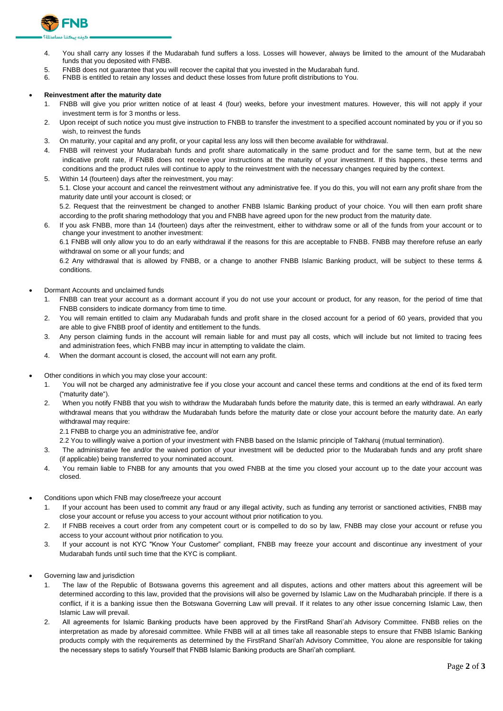

- 4. You shall carry any losses if the Mudarabah fund suffers a loss. Losses will however, always be limited to the amount of the Mudarabah funds that you deposited with FNBB.
- 5. FNBB does not guarantee that you will recover the capital that you invested in the Mudarabah fund.
- 6. FNBB is entitled to retain any losses and deduct these losses from future profit distributions to You.

## • **Reinvestment after the maturity date**

- 1. FNBB will give you prior written notice of at least 4 (four) weeks, before your investment matures. However, this will not apply if your investment term is for 3 months or less.
- 2. Upon receipt of such notice you must give instruction to FNBB to transfer the investment to a specified account nominated by you or if you so wish, to reinvest the funds
- 3. On maturity, your capital and any profit, or your capital less any loss will then become available for withdrawal.
- 4. FNBB will reinvest your Mudarabah funds and profit share automatically in the same product and for the same term, but at the new indicative profit rate, if FNBB does not receive your instructions at the maturity of your investment. If this happens, these terms and conditions and the product rules will continue to apply to the reinvestment with the necessary changes required by the context.
- 5. Within 14 (fourteen) days after the reinvestment, you may: 5.1. Close your account and cancel the reinvestment without any administrative fee. If you do this, you will not earn any profit share from the maturity date until your account is closed; or 5.2. Request that the reinvestment be changed to another FNBB Islamic Banking product of your choice. You will then earn profit share according to the profit sharing methodology that you and FNBB have agreed upon for the new product from the maturity date.
- 6. If you ask FNBB, more than 14 (fourteen) days after the reinvestment, either to withdraw some or all of the funds from your account or to change your investment to another investment:

6.1 FNBB will only allow you to do an early withdrawal if the reasons for this are acceptable to FNBB. FNBB may therefore refuse an early withdrawal on some or all your funds; and

6.2 Any withdrawal that is allowed by FNBB, or a change to another FNBB Islamic Banking product, will be subject to these terms & conditions.

- Dormant Accounts and unclaimed funds
	- 1. FNBB can treat your account as a dormant account if you do not use your account or product, for any reason, for the period of time that FNBB considers to indicate dormancy from time to time.
	- 2. You will remain entitled to claim any Mudarabah funds and profit share in the closed account for a period of 60 years, provided that you are able to give FNBB proof of identity and entitlement to the funds.
	- 3. Any person claiming funds in the account will remain liable for and must pay all costs, which will include but not limited to tracing fees and administration fees, which FNBB may incur in attempting to validate the claim.
	- 4. When the dormant account is closed, the account will not earn any profit.
	- Other conditions in which you may close your account:
		- 1. You will not be charged any administrative fee if you close your account and cancel these terms and conditions at the end of its fixed term ("maturity date").
		- 2. When you notify FNBB that you wish to withdraw the Mudarabah funds before the maturity date, this is termed an early withdrawal. An early withdrawal means that you withdraw the Mudarabah funds before the maturity date or close your account before the maturity date. An early withdrawal may require:
			- 2.1 FNBB to charge you an administrative fee, and/or
			- 2.2 You to willingly waive a portion of your investment with FNBB based on the Islamic principle of Takharuj (mutual termination).
		- 3. The administrative fee and/or the waived portion of your investment will be deducted prior to the Mudarabah funds and any profit share (if applicable) being transferred to your nominated account.
		- 4. You remain liable to FNBB for any amounts that you owed FNBB at the time you closed your account up to the date your account was closed.
- Conditions upon which FNB may close/freeze your account
	- 1. If your account has been used to commit any fraud or any illegal activity, such as funding any terrorist or sanctioned activities, FNBB may close your account or refuse you access to your account without prior notification to you.
	- 2. If FNBB receives a court order from any competent court or is compelled to do so by law, FNBB may close your account or refuse you access to your account without prior notification to you.
	- 3. If your account is not KYC "Know Your Customer" compliant, FNBB may freeze your account and discontinue any investment of your Mudarabah funds until such time that the KYC is compliant.
- Governing law and jurisdiction
	- 1. The law of the Republic of Botswana governs this agreement and all disputes, actions and other matters about this agreement will be determined according to this law, provided that the provisions will also be governed by Islamic Law on the Mudharabah principle. If there is a conflict, if it is a banking issue then the Botswana Governing Law will prevail. If it relates to any other issue concerning Islamic Law, then Islamic Law will prevail.
	- 2. All agreements for Islamic Banking products have been approved by the FirstRand Shari'ah Advisory Committee. FNBB relies on the interpretation as made by aforesaid committee. While FNBB will at all times take all reasonable steps to ensure that FNBB Islamic Banking products comply with the requirements as determined by the FirstRand Shari'ah Advisory Committee, You alone are responsible for taking the necessary steps to satisfy Yourself that FNBB Islamic Banking products are Shari'ah compliant.